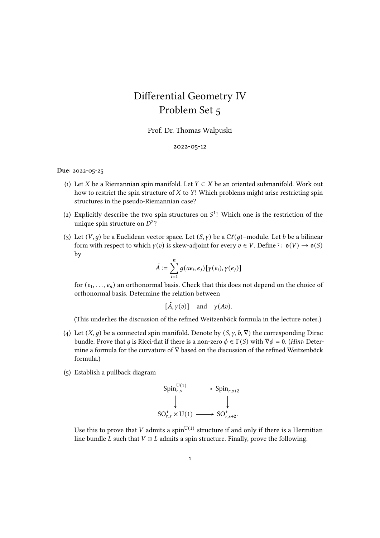## Differential Geometry IV Problem Set 5

Prof. Dr. Thomas Walpuski

## 2022-05-12

## Due: 2022-05-25

- (1) Let X be a Riemannian spin manifold. Let  $Y \subset X$  be an oriented submanifold. Work out how to restrict the spin structure of  $X$  to  $Y!$ . Which problems might arise restricting spin structures in the pseudo-Riemannian case?
- (2) Explicitly describe the two spin structures on  $S<sup>1</sup>$ ! Which one is the restriction of the unique spin structure on  $D^2$ ?
- (3) Let  $(V, q)$  be a Euclidean vector space. Let  $(S, \gamma)$  be a  $C\ell(q)$ –module. Let *b* be a bilinear form with respect to which  $\gamma(v)$  is skew-adjoint for every  $v \in V$ . Define  $\tilde{\cdot} : \mathfrak{g}(V) \to \mathfrak{g}(S)$ by

$$
\tilde{A} := \sum_{i=1}^n g(a e_i, e_j) [ \gamma(e_i), \gamma(e_j) ]
$$

for  $(e_1, \ldots, e_n)$  an orthonormal basis. Check that this does not depend on the choice of orthonormal basis. Determine the relation between

$$
[\tilde{A}, \gamma(v)] \quad \text{and} \quad \gamma(Av).
$$

(This underlies the discussion of the refined Weitzenböck formula in the lecture notes.)

- (4) Let  $(X, q)$  be a connected spin manifold. Denote by  $(S, \gamma, b, \nabla)$  the corresponding Dirac bundle. Prove that q is Ricci-flat if there is a non-zero  $\phi \in \Gamma(S)$  with  $\nabla \phi = 0$ . (Hint: Determine a formula for the curvature of ∇ based on the discussion of the refined Weitzenböck formula.)
- (5) Establish a pullback diagram

$$
\text{Spin}_{r,s}^{\text{U}(1)} \longrightarrow \text{Spin}_{r,s+2}
$$
\n
$$
\downarrow \qquad \qquad \downarrow
$$
\n
$$
\text{SO}_{r,s}^+ \times \text{U}(1) \longrightarrow \text{SO}_{r,s+2}^+.
$$

Use this to prove that  $V$  admits a  $\mathrm{spin}^{\mathrm{U}(1)}$  structure if and only if there is a Hermitian line bundle *L* such that  $V \oplus L$  admits a spin structure. Finally, prove the following.